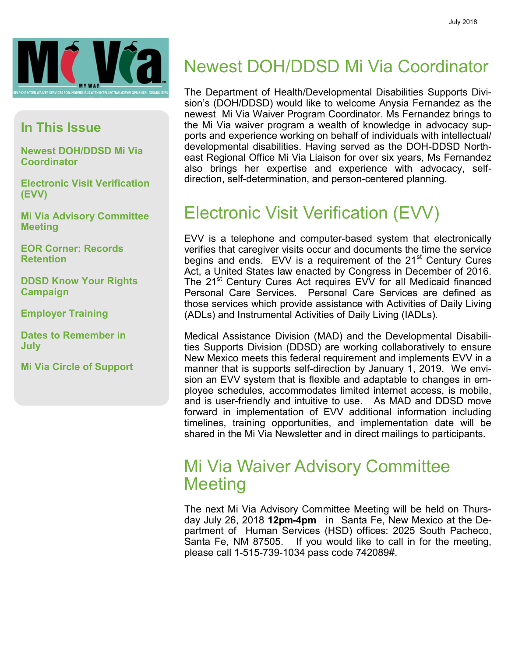

#### **In This Issue**

**Newest DOH/DDSD Mi Via Coordinator**

**Electronic Visit Verification (EVV)**

**Mi Via Advisory Committee Meeting**

**EOR Corner: Records Retention**

**DDSD Know Your Rights Campaign**

**Employer Training**

**Dates to Remember in July**

**Mi Via Circle of Support**

#### Newest DOH/DDSD Mi Via Coordinator

The Department of Health/Developmental Disabilities Supports Division's (DOH/DDSD) would like to welcome Anysia Fernandez as the newest Mi Via Waiver Program Coordinator. Ms Fernandez brings to the Mi Via waiver program a wealth of knowledge in advocacy supports and experience working on behalf of individuals with intellectual/ developmental disabilities. Having served as the DOH-DDSD Northeast Regional Office Mi Via Liaison for over six years, Ms Fernandez also brings her expertise and experience with advocacy, selfdirection, self-determination, and person-centered planning.

### Electronic Visit Verification (EVV)

EVV is a telephone and computer-based system that electronically verifies that caregiver visits occur and documents the time the service begins and ends. EVV is a requirement of the 21<sup>st</sup> Century Cures Act, a United States law enacted by Congress in December of 2016. The 21<sup>st</sup> Century Cures Act requires EVV for all Medicaid financed Personal Care Services. Personal Care Services are defined as those services which provide assistance with Activities of Daily Living (ADLs) and Instrumental Activities of Daily Living (IADLs).

Medical Assistance Division (MAD) and the Developmental Disabilities Supports Division (DDSD) are working collaboratively to ensure New Mexico meets this federal requirement and implements EVV in a manner that is supports self-direction by January 1, 2019. We envision an EVV system that is flexible and adaptable to changes in employee schedules, accommodates limited internet access, is mobile, and is user-friendly and intuitive to use. As MAD and DDSD move forward in implementation of EVV additional information including timelines, training opportunities, and implementation date will be shared in the Mi Via Newsletter and in direct mailings to participants.

#### Mi Via Waiver Advisory Committee **Meeting**

The next Mi Via Advisory Committee Meeting will be held on Thursday July 26, 2018 **12pm-4pm** in Santa Fe, New Mexico at the Department of Human Services (HSD) offices: 2025 South Pacheco, Santa Fe, NM 87505. If you would like to call in for the meeting, please call 1-515-739-1034 pass code 742089#.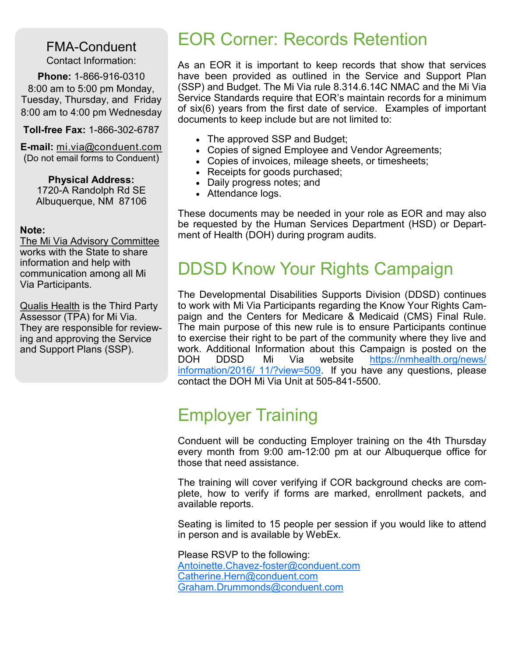FMA-Conduent Contact Information:

**Phone:** 1-866-916-0310 8:00 am to 5:00 pm Monday, Tuesday, Thursday, and Friday 8:00 am to 4:00 pm Wednesday

**Toll-free Fax:** 1-866-302-6787

**E-mail:** mi.via@conduent.com (Do not email forms to Conduent)

> **Physical Address:** 1720-A Randolph Rd SE Albuquerque, NM 87106

#### **Note:**

The Mi Via Advisory Committee works with the State to share information and help with communication among all Mi Via Participants.

Qualis Health is the Third Party Assessor (TPA) for Mi Via. They are responsible for reviewing and approving the Service and Support Plans (SSP).

#### EOR Corner: Records Retention

As an EOR it is important to keep records that show that services have been provided as outlined in the Service and Support Plan (SSP) and Budget. The Mi Via rule 8.314.6.14C NMAC and the Mi Via Service Standards require that EOR's maintain records for a minimum of six(6) years from the first date of service. Examples of important documents to keep include but are not limited to:

- The approved SSP and Budget;
- Copies of signed Employee and Vendor Agreements;
- Copies of invoices, mileage sheets, or timesheets;
- Receipts for goods purchased;
- Daily progress notes; and
- Attendance logs.

These documents may be needed in your role as EOR and may also be requested by the Human Services Department (HSD) or Department of Health (DOH) during program audits.

#### DDSD Know Your Rights Campaign

The Developmental Disabilities Supports Division (DDSD) continues to work with Mi Via Participants regarding the Know Your Rights Campaign and the Centers for Medicare & Medicaid (CMS) Final Rule. The main purpose of this new rule is to ensure Participants continue to exercise their right to be part of the community where they live and work. Additional Information about this Campaign is posted on the DOH DDSD Mi Via website [https://nmhealth.org/news/](https://nmhealth.org/news/information/2016/11/?view=509) [information/2016/ 11/?view=509.](https://nmhealth.org/news/information/2016/11/?view=509) If you have any questions, please contact the DOH Mi Via Unit at 505-841-5500.

#### Employer Training

Conduent will be conducting Employer training on the 4th Thursday every month from 9:00 am-12:00 pm at our Albuquerque office for those that need assistance.

The training will cover verifying if COR background checks are complete, how to verify if forms are marked, enrollment packets, and available reports.

Seating is limited to 15 people per session if you would like to attend in person and is available by WebEx.

Please RSVP to the following: Antoinette.Chavez-[foster@conduent.com](mailto:Antoinette.Chavez-foster@conduent.com) [Catherine.Hern@conduent.com](mailto:Catherine.Hern@conduent.com) [Graham.Drummonds@conduent.com](mailto:Catherine.Hern@conduent.com)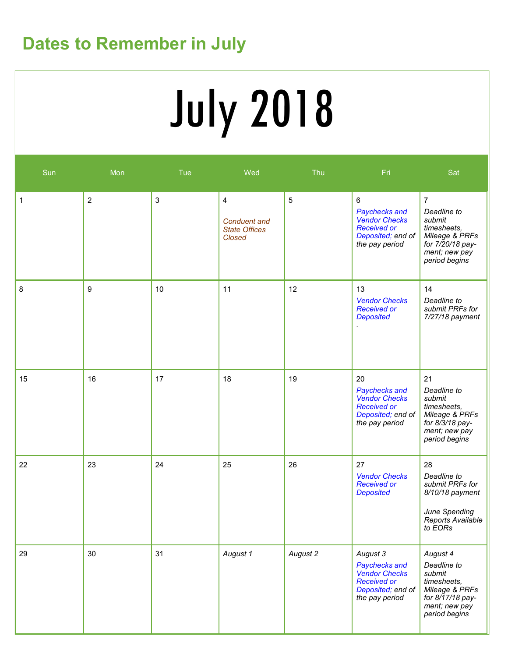## **Dates to Remember in July**

# July 2018

| Sun | Mon            | <b>Tue</b>   | Wed                                                        | Thu      | Fri                                                                                                            | Sat                                                                                                                            |
|-----|----------------|--------------|------------------------------------------------------------|----------|----------------------------------------------------------------------------------------------------------------|--------------------------------------------------------------------------------------------------------------------------------|
| 1   | $\overline{c}$ | $\mathbf{3}$ | 4<br><b>Conduent and</b><br><b>State Offices</b><br>Closed | 5        | 6<br>Paychecks and<br><b>Vendor Checks</b><br><b>Received or</b><br>Deposited; end of<br>the pay period        | $\overline{7}$<br>Deadline to<br>submit<br>timesheets,<br>Mileage & PRFs<br>for 7/20/18 pay-<br>ment; new pay<br>period begins |
| 8   | 9              | 10           | 11                                                         | 12       | 13<br><b>Vendor Checks</b><br><b>Received or</b><br><b>Deposited</b>                                           | 14<br>Deadline to<br>submit PRFs for<br>7/27/18 payment                                                                        |
| 15  | 16             | 17           | 18                                                         | 19       | 20<br>Paychecks and<br><b>Vendor Checks</b><br><b>Received or</b><br>Deposited; end of<br>the pay period       | 21<br>Deadline to<br>submit<br>timesheets,<br>Mileage & PRFs<br>for 8/3/18 pay-<br>ment; new pay<br>period begins              |
| 22  | 23             | 24           | 25                                                         | 26       | 27<br><b>Vendor Checks</b><br><b>Received or</b><br><b>Deposited</b>                                           | 28<br>Deadline to<br>submit PRFs for<br>8/10/18 payment<br>June Spending<br>Reports Available<br>to EORs                       |
| 29  | 30             | 31           | August 1                                                   | August 2 | August 3<br>Paychecks and<br><b>Vendor Checks</b><br><b>Received or</b><br>Deposited; end of<br>the pay period | August 4<br>Deadline to<br>submit<br>timesheets,<br>Mileage & PRFs<br>for 8/17/18 pay-<br>ment; new pay<br>period begins       |